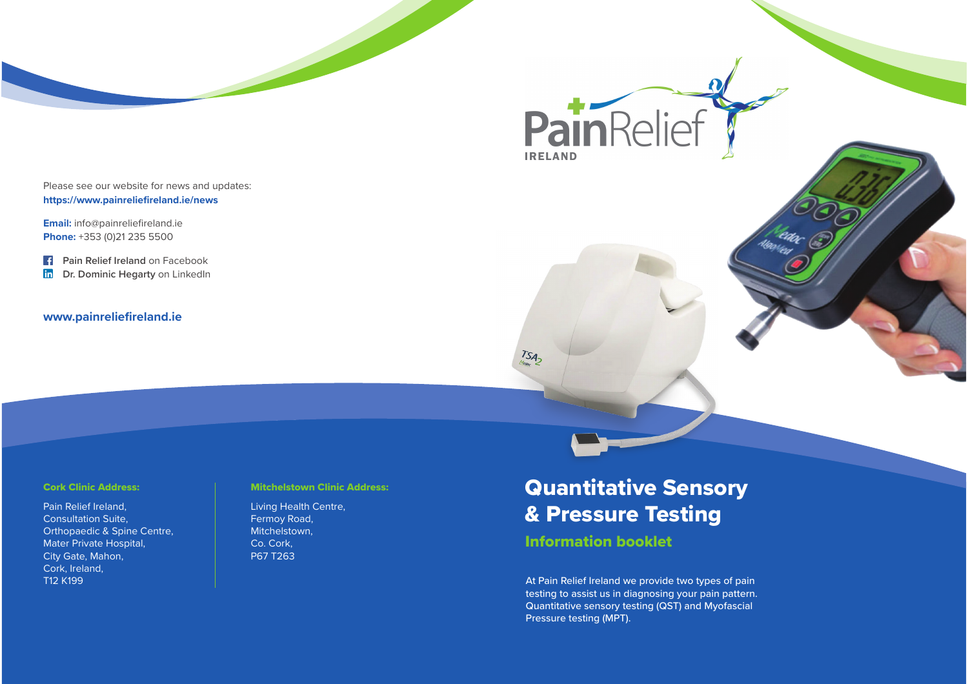Please see our website for news and updates: **https://www.painreliefireland.ie/news**

**Email:** info@painreliefireland.ie **Phone:** +353 (0)21 235 5500

**F** Pain Relief Ireland on Facebook in **Dr. Dominic Hegarty** on LinkedIn

#### **www.painreliefireland.ie**

#### Cork Clinic Address:

Pain Relief Ireland, Consultation Suite, Orthopaedic & Spine Centre, Mater Private Hospital, City Gate, Mahon, Cork, Ireland, T12 K199

#### Mitchelstown Clinic Address:

Living Health Centre, Fermoy Road, Mitchelstown, Co. Cork, P67 T263

# Quantitative Sensory & Pressure Testing

PainRelief

## Information booklet

TSA-

At Pain Relief Ireland we provide two types of pain testing to assist us in diagnosing your pain pattern. Quantitative sensory testing (QST) and Myofascial Pressure testing (MPT).